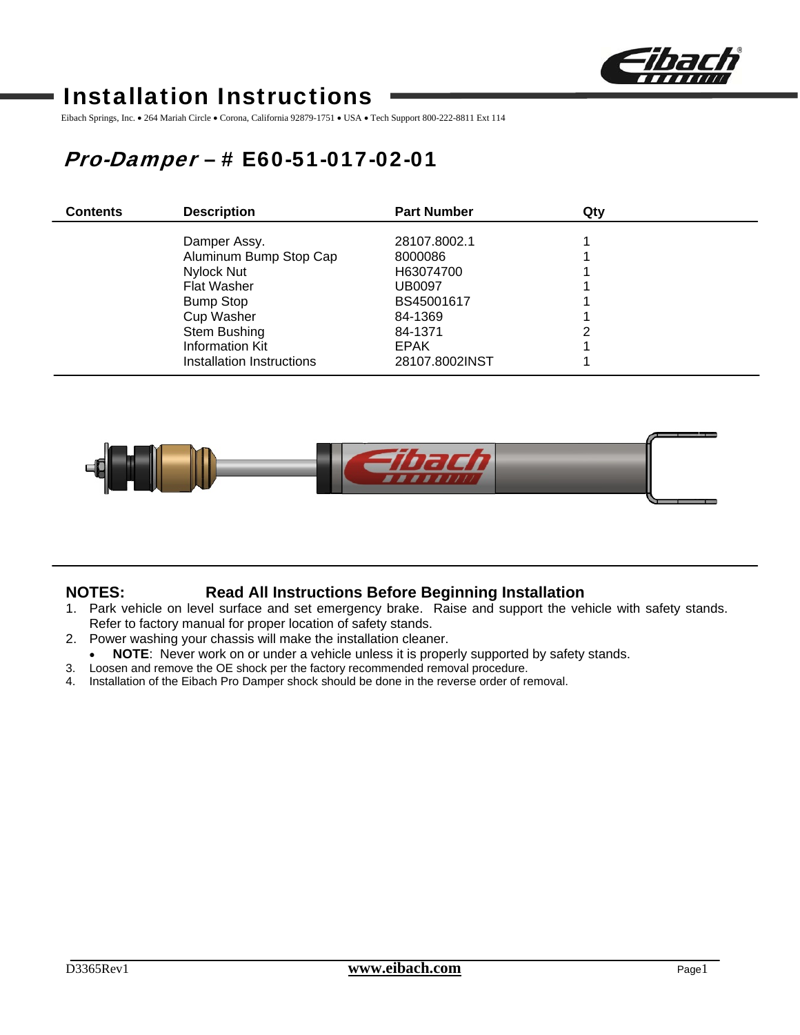

# Installation Instructions

Eibach Springs, Inc. • 264 Mariah Circle • Corona, California 92879-1751 • USA • Tech Support 800-222-8811 Ext 114

# Pro-Damper – # E60-51-017-02-01

| <b>Contents</b> | <b>Description</b>        | <b>Part Number</b> | Qty |  |
|-----------------|---------------------------|--------------------|-----|--|
|                 | Damper Assy.              | 28107.8002.1       |     |  |
|                 | Aluminum Bump Stop Cap    | 8000086            |     |  |
|                 | Nylock Nut                | H63074700          |     |  |
|                 | <b>Flat Washer</b>        | <b>UB0097</b>      |     |  |
|                 | <b>Bump Stop</b>          | BS45001617         |     |  |
|                 | <b>Cup Washer</b>         | 84-1369            |     |  |
|                 | Stem Bushing              | 84-1371            | ົ   |  |
|                 | <b>Information Kit</b>    | <b>EPAK</b>        |     |  |
|                 | Installation Instructions | 28107.8002INST     |     |  |



## **NOTES: Read All Instructions Before Beginning Installation**

- 1. Park vehicle on level surface and set emergency brake. Raise and support the vehicle with safety stands. Refer to factory manual for proper location of safety stands.
- 2. Power washing your chassis will make the installation cleaner.
	- NOTE: Never work on or under a vehicle unless it is properly supported by safety stands.
- 3. Loosen and remove the OE shock per the factory recommended removal procedure.
- 4. Installation of the Eibach Pro Damper shock should be done in the reverse order of removal.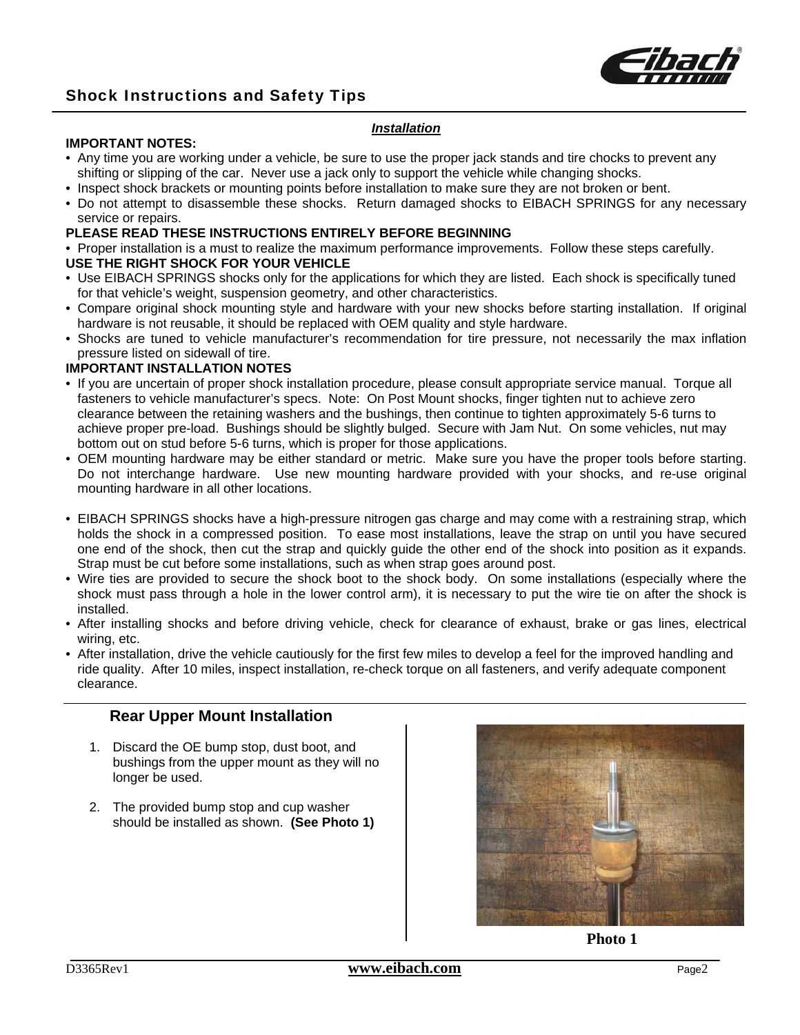

#### *Installation*

#### **IMPORTANT NOTES:**

- Any time you are working under a vehicle, be sure to use the proper jack stands and tire chocks to prevent any shifting or slipping of the car. Never use a jack only to support the vehicle while changing shocks.
- Inspect shock brackets or mounting points before installation to make sure they are not broken or bent.
- Do not attempt to disassemble these shocks. Return damaged shocks to EIBACH SPRINGS for any necessary service or repairs.

#### **PLEASE READ THESE INSTRUCTIONS ENTIRELY BEFORE BEGINNING**

• Proper installation is a must to realize the maximum performance improvements. Follow these steps carefully.

### **USE THE RIGHT SHOCK FOR YOUR VEHICLE**

- Use EIBACH SPRINGS shocks only for the applications for which they are listed. Each shock is specifically tuned for that vehicle's weight, suspension geometry, and other characteristics.
- Compare original shock mounting style and hardware with your new shocks before starting installation. If original hardware is not reusable, it should be replaced with OEM quality and style hardware.
- Shocks are tuned to vehicle manufacturer's recommendation for tire pressure, not necessarily the max inflation pressure listed on sidewall of tire.

#### **IMPORTANT INSTALLATION NOTES**

- If you are uncertain of proper shock installation procedure, please consult appropriate service manual. Torque all fasteners to vehicle manufacturer's specs. Note: On Post Mount shocks, finger tighten nut to achieve zero clearance between the retaining washers and the bushings, then continue to tighten approximately 5-6 turns to achieve proper pre-load. Bushings should be slightly bulged. Secure with Jam Nut. On some vehicles, nut may bottom out on stud before 5-6 turns, which is proper for those applications.
- OEM mounting hardware may be either standard or metric. Make sure you have the proper tools before starting. Do not interchange hardware. Use new mounting hardware provided with your shocks, and re-use original mounting hardware in all other locations.
- EIBACH SPRINGS shocks have a high-pressure nitrogen gas charge and may come with a restraining strap, which holds the shock in a compressed position. To ease most installations, leave the strap on until you have secured one end of the shock, then cut the strap and quickly guide the other end of the shock into position as it expands. Strap must be cut before some installations, such as when strap goes around post.
- Wire ties are provided to secure the shock boot to the shock body. On some installations (especially where the shock must pass through a hole in the lower control arm), it is necessary to put the wire tie on after the shock is installed.
- After installing shocks and before driving vehicle, check for clearance of exhaust, brake or gas lines, electrical wiring, etc.
- After installation, drive the vehicle cautiously for the first few miles to develop a feel for the improved handling and ride quality. After 10 miles, inspect installation, re-check torque on all fasteners, and verify adequate component clearance.

### **Rear Upper Mount Installation**

- 1. Discard the OE bump stop, dust boot, and bushings from the upper mount as they will no longer be used.
- 2. The provided bump stop and cup washer should be installed as shown. **(See Photo 1)**



**Photo 1**